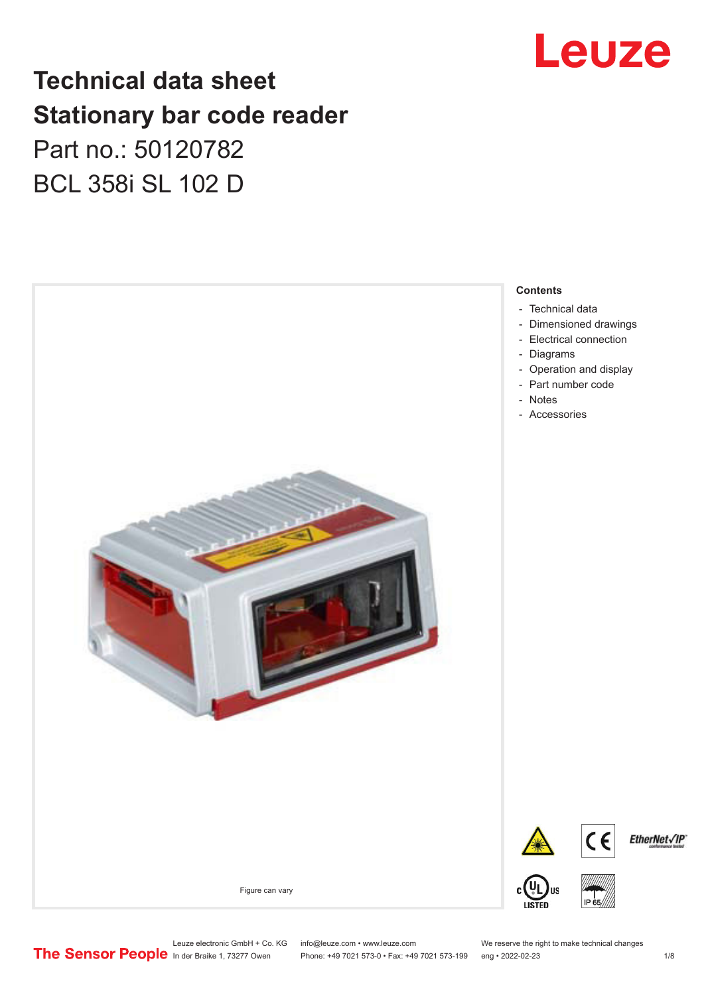

### **Technical data sheet Stationary bar code reader** Part no.: 50120782 BCL 358i SL 102 D



Leuze electronic GmbH + Co. KG info@leuze.com • www.leuze.com We reserve the right to make technical changes<br>
The Sensor People in der Braike 1, 73277 Owen Phone: +49 7021 573-0 • Fax: +49 7021 573-199 eng • 2022-02-23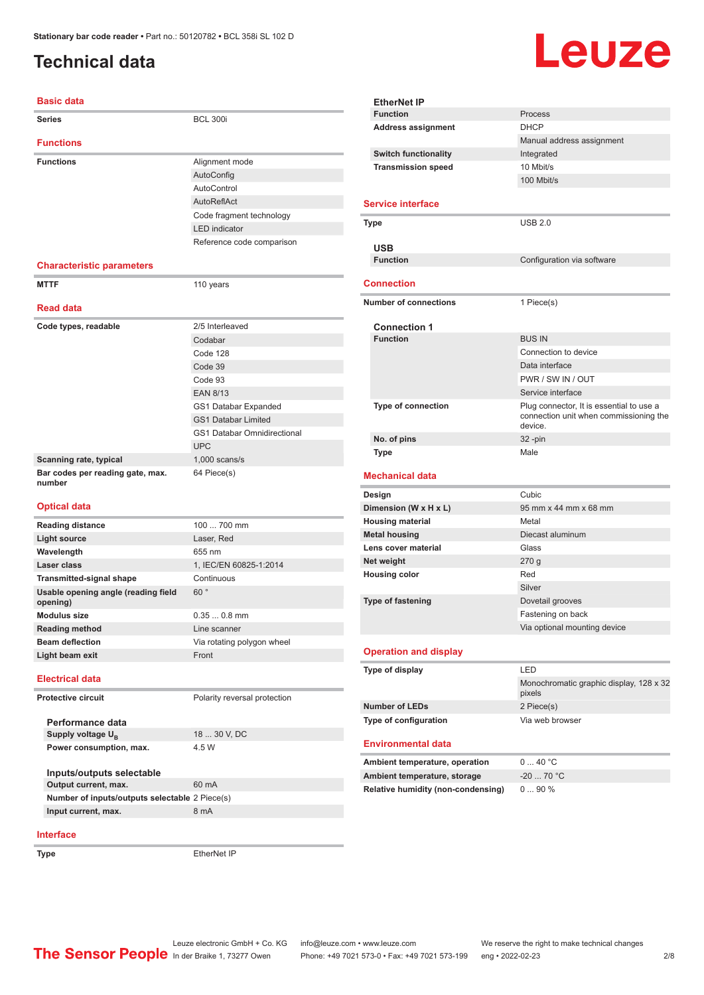### <span id="page-1-0"></span>**Technical data**

# Leuze

| <b>Basic data</b>                               |                                    |
|-------------------------------------------------|------------------------------------|
| Series                                          | <b>BCL 300i</b>                    |
| <b>Functions</b>                                |                                    |
| <b>Functions</b>                                | Alignment mode                     |
|                                                 | AutoConfig                         |
|                                                 | AutoControl                        |
|                                                 | AutoReflAct                        |
|                                                 | Code fragment technology           |
|                                                 | <b>LED</b> indicator               |
|                                                 | Reference code comparison          |
| <b>Characteristic parameters</b>                |                                    |
| <b>MTTF</b>                                     | 110 years                          |
|                                                 |                                    |
| <b>Read data</b>                                |                                    |
| Code types, readable                            | 2/5 Interleaved                    |
|                                                 | Codabar                            |
|                                                 | Code 128                           |
|                                                 | Code 39                            |
|                                                 | Code 93                            |
|                                                 | <b>EAN 8/13</b>                    |
|                                                 | GS1 Databar Expanded               |
|                                                 | <b>GS1 Databar Limited</b>         |
|                                                 | <b>GS1 Databar Omnidirectional</b> |
|                                                 | <b>UPC</b>                         |
| Scanning rate, typical                          | $1,000$ scans/s                    |
| Bar codes per reading gate, max.<br>number      | 64 Piece(s)                        |
| <b>Optical data</b>                             |                                    |
| <b>Reading distance</b>                         | 100  700 mm                        |
| <b>Light source</b>                             | Laser, Red                         |
| Wavelength                                      | 655 nm                             |
| Laser class                                     | 1, IEC/EN 60825-1:2014             |
| <b>Transmitted-signal shape</b>                 | Continuous                         |
| Usable opening angle (reading field<br>opening) | 60°                                |
| <b>Modulus size</b>                             | $0.350.8$ mm                       |
| <b>Reading method</b>                           | Line scanner                       |
| <b>Beam deflection</b>                          | Via rotating polygon wheel         |
| Light beam exit                                 | Front                              |
| <b>Electrical data</b>                          |                                    |
| <b>Protective circuit</b>                       | Polarity reversal protection       |
| Performance data                                |                                    |
| Supply voltage U <sub>R</sub>                   | 18  30 V, DC                       |
| Power consumption, max.                         | 4.5 W                              |
|                                                 |                                    |
| Inputs/outputs selectable                       |                                    |
| Output current, max.                            | 60 mA                              |
| Number of inputs/outputs selectable 2 Piece(s)  |                                    |
| Input current, max.                             | 8 mA                               |

| <b>EtherNet IP</b>                        |                                                                                    |  |
|-------------------------------------------|------------------------------------------------------------------------------------|--|
| <b>Function</b>                           | Process                                                                            |  |
| <b>Address assignment</b>                 | <b>DHCP</b>                                                                        |  |
|                                           | Manual address assignment                                                          |  |
| <b>Switch functionality</b>               | Integrated                                                                         |  |
| <b>Transmission speed</b>                 | 10 Mbit/s                                                                          |  |
|                                           | 100 Mbit/s                                                                         |  |
|                                           |                                                                                    |  |
| <b>Service interface</b>                  |                                                                                    |  |
| Type                                      | <b>USB 2.0</b>                                                                     |  |
|                                           |                                                                                    |  |
| <b>USB</b>                                |                                                                                    |  |
| <b>Function</b>                           | Configuration via software                                                         |  |
|                                           |                                                                                    |  |
| Connection                                |                                                                                    |  |
| <b>Number of connections</b>              | 1 Piece(s)                                                                         |  |
|                                           |                                                                                    |  |
| <b>Connection 1</b><br><b>Function</b>    |                                                                                    |  |
|                                           | <b>BUS IN</b>                                                                      |  |
|                                           | Connection to device                                                               |  |
|                                           | Data interface                                                                     |  |
|                                           | PWR / SW IN / OUT                                                                  |  |
|                                           | Service interface                                                                  |  |
| <b>Type of connection</b>                 | Plug connector, It is essential to use a<br>connection unit when commissioning the |  |
|                                           | device.                                                                            |  |
| No. of pins                               | 32-pin                                                                             |  |
| Type                                      | Male                                                                               |  |
|                                           |                                                                                    |  |
|                                           |                                                                                    |  |
| Mechanical data                           |                                                                                    |  |
| Design                                    | Cubic                                                                              |  |
| Dimension (W x H x L)                     | 95 mm x 44 mm x 68 mm                                                              |  |
| <b>Housing material</b>                   | Metal                                                                              |  |
| <b>Metal housing</b>                      | Diecast aluminum                                                                   |  |
| Lens cover material                       | Glass                                                                              |  |
| Net weight                                | 270g                                                                               |  |
| <b>Housing color</b>                      | Red                                                                                |  |
|                                           | Silver                                                                             |  |
|                                           |                                                                                    |  |
| <b>Type of fastening</b>                  | Dovetail grooves                                                                   |  |
|                                           | Fastening on back                                                                  |  |
|                                           | Via optional mounting device                                                       |  |
| <b>Operation and display</b>              |                                                                                    |  |
| Type of display                           | LED                                                                                |  |
|                                           | Monochromatic graphic display, 128 x 32                                            |  |
|                                           | pixels                                                                             |  |
| <b>Number of LEDs</b>                     | 2 Piece(s)                                                                         |  |
| Type of configuration                     | Via web browser                                                                    |  |
|                                           |                                                                                    |  |
| Environmental data                        |                                                                                    |  |
| Ambient temperature, operation            | 040 °C                                                                             |  |
| Ambient temperature, storage              | $-20$ 70 °C                                                                        |  |
| <b>Relative humidity (non-condensing)</b> | 090%                                                                               |  |

#### **Interface**

**Type** EtherNet IP

Leuze electronic GmbH + Co. KG info@leuze.com • www.leuze.com We reserve the right to make technical changes In der Braike 1, 73277 Owen Phone: +49 7021 573-0 • Fax: +49 7021 573-199 eng • 2022-02-23 2 /8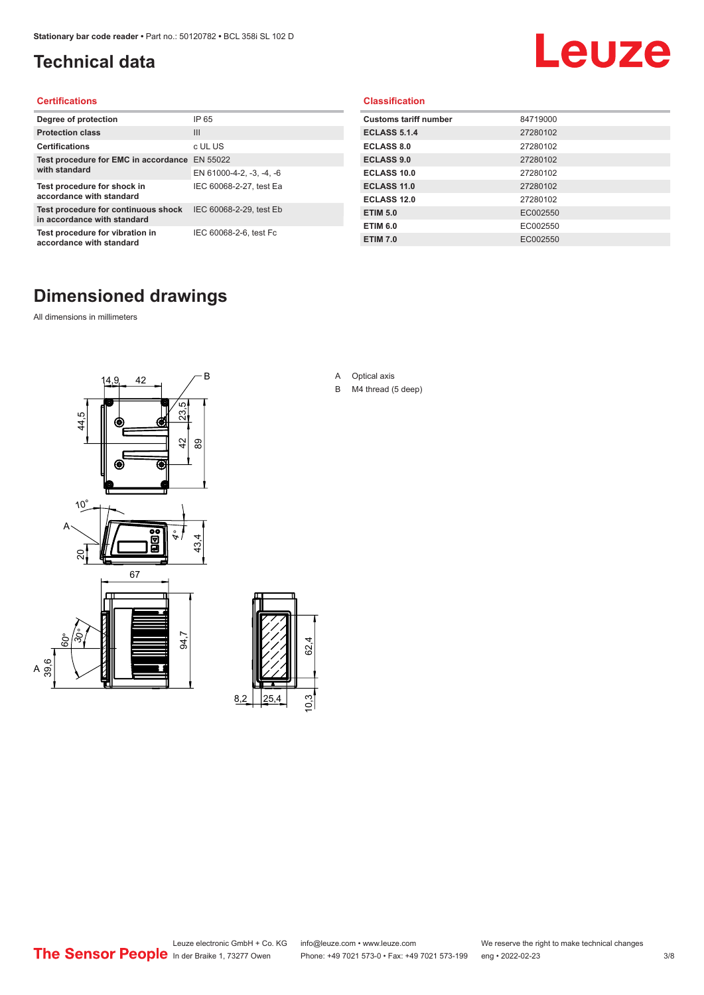### <span id="page-2-0"></span>**Technical data**

## Leuze

#### **Certifications**

| Degree of protection                                               | IP 65                    |
|--------------------------------------------------------------------|--------------------------|
| <b>Protection class</b>                                            | $\mathbf{III}$           |
| <b>Certifications</b>                                              | c UL US                  |
| Test procedure for EMC in accordance                               | EN 55022                 |
| with standard                                                      | EN 61000-4-2, -3, -4, -6 |
| Test procedure for shock in<br>accordance with standard            | IEC 60068-2-27, test Ea  |
| Test procedure for continuous shock<br>in accordance with standard | IEC 60068-2-29, test Eb  |
| Test procedure for vibration in<br>accordance with standard        | IEC 60068-2-6, test Fc   |

#### **Classification**

| <b>Customs tariff number</b> | 84719000 |
|------------------------------|----------|
| <b>ECLASS 5.1.4</b>          | 27280102 |
| <b>ECLASS 8.0</b>            | 27280102 |
| <b>ECLASS 9.0</b>            | 27280102 |
| ECLASS 10.0                  | 27280102 |
| <b>ECLASS 11.0</b>           | 27280102 |
| ECLASS 12.0                  | 27280102 |
| <b>ETIM 5.0</b>              | EC002550 |
| <b>ETIM 6.0</b>              | EC002550 |
| <b>ETIM 7.0</b>              | EC002550 |

#### **Dimensioned drawings**

All dimensions in millimeters

 $\overline{A}$ 





- A Optical axis
- B M4 thread (5 deep)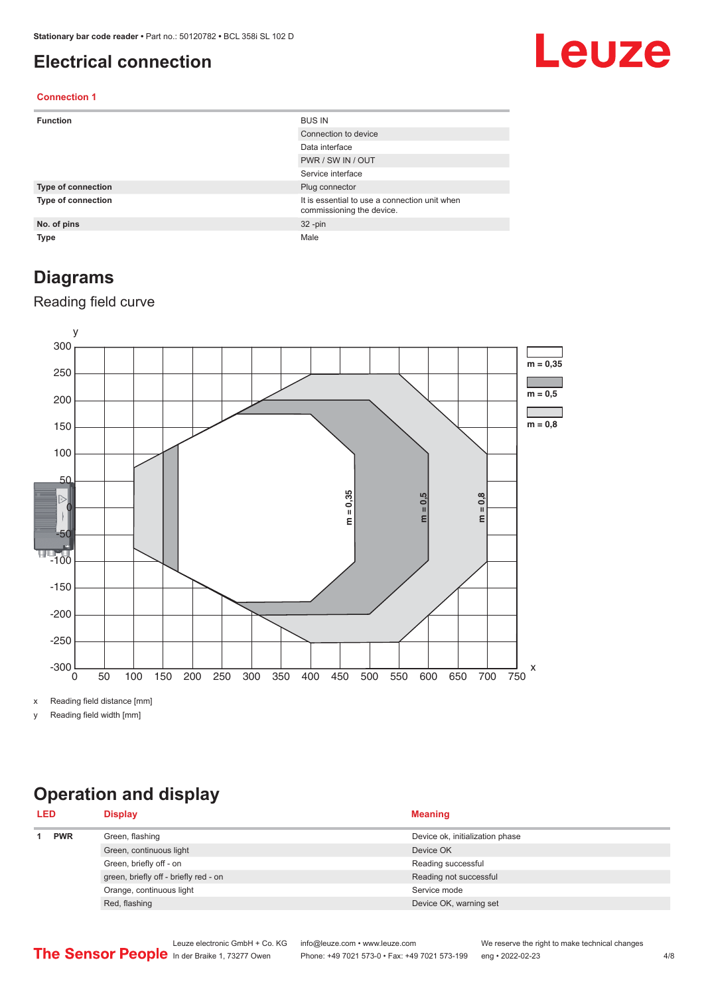#### <span id="page-3-0"></span>**Electrical connection**

## Leuze

#### **Connection 1**

| <b>Function</b>           | <b>BUS IN</b>                                                              |
|---------------------------|----------------------------------------------------------------------------|
|                           | Connection to device                                                       |
|                           | Data interface                                                             |
|                           | PWR / SW IN / OUT                                                          |
|                           | Service interface                                                          |
| <b>Type of connection</b> | Plug connector                                                             |
| <b>Type of connection</b> | It is essential to use a connection unit when<br>commissioning the device. |
| No. of pins               | $32 - pin$                                                                 |
| <b>Type</b>               | Male                                                                       |

#### **Diagrams**

#### Reading field curve



x Reading field distance [mm]

y Reading field width [mm]

### **Operation and display**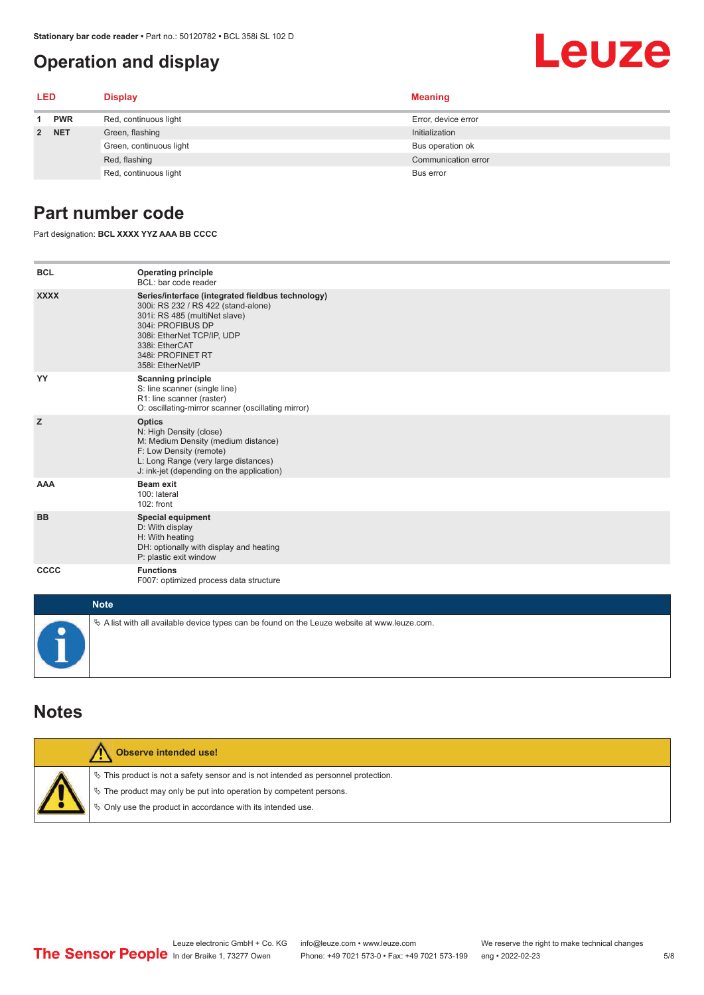#### <span id="page-4-0"></span>**Operation and display**

## Leuze

| <b>LED</b> |            | <b>Display</b>          | <b>Meaning</b>      |
|------------|------------|-------------------------|---------------------|
|            | <b>PWR</b> | Red, continuous light   | Error, device error |
| 2 NET      |            | Green, flashing         | Initialization      |
|            |            | Green, continuous light | Bus operation ok    |
|            |            | Red, flashing           | Communication error |
|            |            | Red, continuous light   | Bus error           |

#### **Part number code**

Part designation: **BCL XXXX YYZ AAA BB CCCC**

| <b>BCL</b>  | <b>Operating principle</b><br>BCL: bar code reader                                                                                                                                                                                       |
|-------------|------------------------------------------------------------------------------------------------------------------------------------------------------------------------------------------------------------------------------------------|
| <b>XXXX</b> | Series/interface (integrated fieldbus technology)<br>300i: RS 232 / RS 422 (stand-alone)<br>301i: RS 485 (multiNet slave)<br>304i: PROFIBUS DP<br>308i: EtherNet TCP/IP, UDP<br>338i: EtherCAT<br>348i: PROFINET RT<br>358i: EtherNet/IP |
| YY          | <b>Scanning principle</b><br>S: line scanner (single line)<br>R1: line scanner (raster)<br>O: oscillating-mirror scanner (oscillating mirror)                                                                                            |
| z           | <b>Optics</b><br>N: High Density (close)<br>M: Medium Density (medium distance)<br>F: Low Density (remote)<br>L: Long Range (very large distances)<br>J: ink-jet (depending on the application)                                          |
| <b>AAA</b>  | <b>Beam exit</b><br>100: lateral<br>102: front                                                                                                                                                                                           |
| <b>BB</b>   | <b>Special equipment</b><br>D: With display<br>H: With heating<br>DH: optionally with display and heating<br>P: plastic exit window                                                                                                      |
| <b>CCCC</b> | <b>Functions</b><br>F007: optimized process data structure                                                                                                                                                                               |
| <b>Note</b> |                                                                                                                                                                                                                                          |
|             | $\&$ A list with all available device types can be found on the Leuze website at www.leuze.com.                                                                                                                                          |

#### **Notes**

| Observe intended use!                                                                                                                                                                                                         |
|-------------------------------------------------------------------------------------------------------------------------------------------------------------------------------------------------------------------------------|
| $\%$ This product is not a safety sensor and is not intended as personnel protection.<br>$\&$ The product may only be put into operation by competent persons.<br>♦ Only use the product in accordance with its intended use. |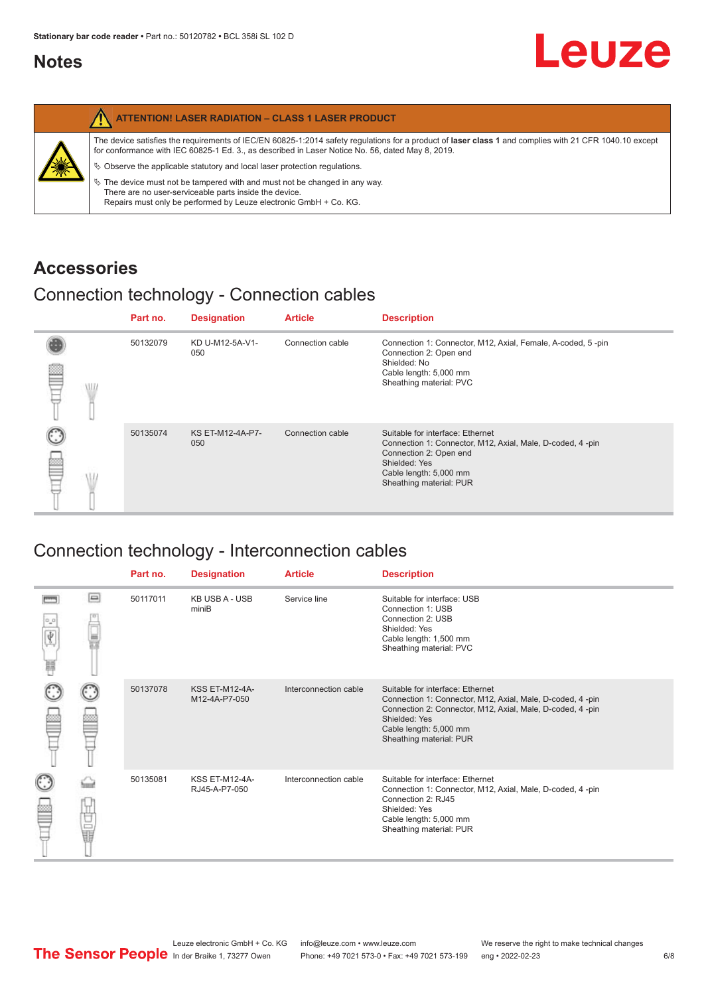#### <span id="page-5-0"></span>**Notes**

|   | <b>ATTENTION! LASER RADIATION - CLASS 1 LASER PRODUCT</b>                                                                                                                                                                                                                                                                                                                                                                                                                                                                                                   |
|---|-------------------------------------------------------------------------------------------------------------------------------------------------------------------------------------------------------------------------------------------------------------------------------------------------------------------------------------------------------------------------------------------------------------------------------------------------------------------------------------------------------------------------------------------------------------|
| 纂 | The device satisfies the requirements of IEC/EN 60825-1:2014 safety regulations for a product of laser class 1 and complies with 21 CFR 1040.10 except<br>for conformance with IEC 60825-1 Ed. 3., as described in Laser Notice No. 56, dated May 8, 2019.<br>$\%$ Observe the applicable statutory and local laser protection regulations.<br>$\%$ The device must not be tampered with and must not be changed in any way.<br>There are no user-serviceable parts inside the device.<br>Repairs must only be performed by Leuze electronic GmbH + Co. KG. |

#### **Accessories**

#### Connection technology - Connection cables

|   | Part no. | <b>Designation</b>      | <b>Article</b>   | <b>Description</b>                                                                                                                                                                            |
|---|----------|-------------------------|------------------|-----------------------------------------------------------------------------------------------------------------------------------------------------------------------------------------------|
| œ | 50132079 | KD U-M12-5A-V1-<br>050  | Connection cable | Connection 1: Connector, M12, Axial, Female, A-coded, 5-pin<br>Connection 2: Open end<br>Shielded: No<br>Cable length: 5,000 mm<br>Sheathing material: PVC                                    |
|   | 50135074 | KS ET-M12-4A-P7-<br>050 | Connection cable | Suitable for interface: Ethernet<br>Connection 1: Connector, M12, Axial, Male, D-coded, 4-pin<br>Connection 2: Open end<br>Shielded: Yes<br>Cable length: 5,000 mm<br>Sheathing material: PUR |

### Connection technology - Interconnection cables

|   |     | Part no. | <b>Designation</b>                     | <b>Article</b>        | <b>Description</b>                                                                                                                                                                                                               |
|---|-----|----------|----------------------------------------|-----------------------|----------------------------------------------------------------------------------------------------------------------------------------------------------------------------------------------------------------------------------|
| Ħ | e   | 50117011 | <b>KB USB A - USB</b><br>miniB         | Service line          | Suitable for interface: USB<br>Connection 1: USB<br>Connection 2: USB<br>Shielded: Yes<br>Cable length: 1,500 mm<br>Sheathing material: PVC                                                                                      |
|   |     | 50137078 | <b>KSS ET-M12-4A-</b><br>M12-4A-P7-050 | Interconnection cable | Suitable for interface: Ethernet<br>Connection 1: Connector, M12, Axial, Male, D-coded, 4-pin<br>Connection 2: Connector, M12, Axial, Male, D-coded, 4-pin<br>Shielded: Yes<br>Cable length: 5,000 mm<br>Sheathing material: PUR |
|   | the | 50135081 | <b>KSS ET-M12-4A-</b><br>RJ45-A-P7-050 | Interconnection cable | Suitable for interface: Ethernet<br>Connection 1: Connector, M12, Axial, Male, D-coded, 4-pin<br>Connection 2: RJ45<br>Shielded: Yes<br>Cable length: 5,000 mm<br>Sheathing material: PUR                                        |

Leuze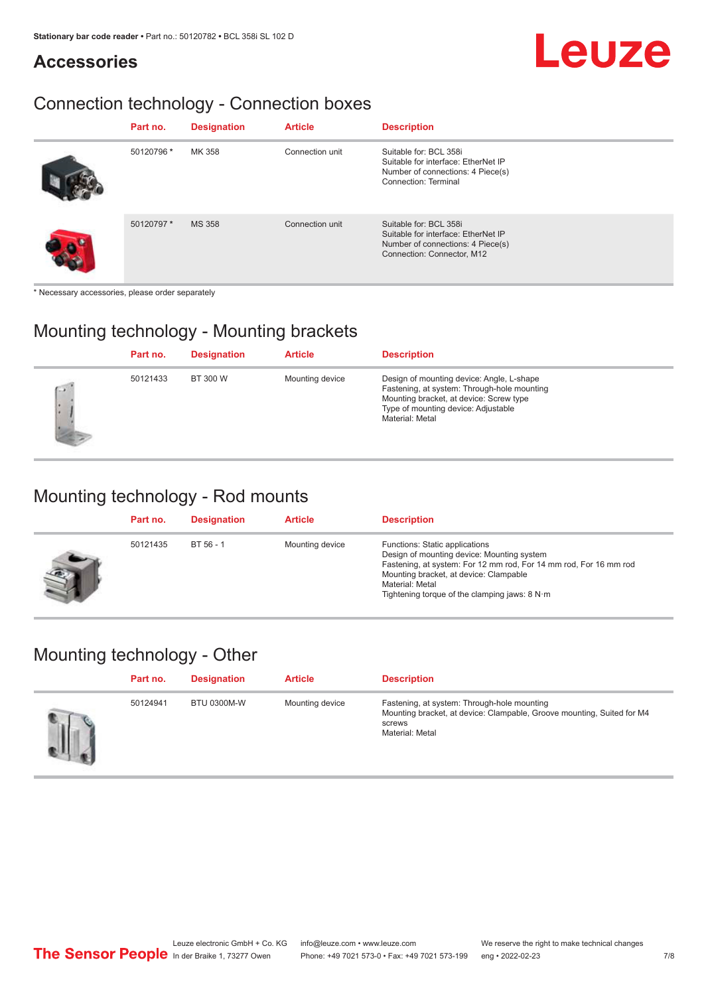#### **Accessories**

## Leuze

### Connection technology - Connection boxes

| Part no.   | <b>Designation</b> | <b>Article</b>  | <b>Description</b>                                                                                                               |
|------------|--------------------|-----------------|----------------------------------------------------------------------------------------------------------------------------------|
| 50120796 * | MK 358             | Connection unit | Suitable for: BCL 358i<br>Suitable for interface: EtherNet IP<br>Number of connections: 4 Piece(s)<br>Connection: Terminal       |
| 50120797 * | <b>MS 358</b>      | Connection unit | Suitable for: BCL 358i<br>Suitable for interface: EtherNet IP<br>Number of connections: 4 Piece(s)<br>Connection: Connector, M12 |

\* Necessary accessories, please order separately

#### Mounting technology - Mounting brackets

|               | Part no. | <b>Designation</b> | <b>Article</b>  | <b>Description</b>                                                                                                                                                                            |
|---------------|----------|--------------------|-----------------|-----------------------------------------------------------------------------------------------------------------------------------------------------------------------------------------------|
| $\rightarrow$ | 50121433 | BT 300 W           | Mounting device | Design of mounting device: Angle, L-shape<br>Fastening, at system: Through-hole mounting<br>Mounting bracket, at device: Screw type<br>Type of mounting device: Adjustable<br>Material: Metal |

#### Mounting technology - Rod mounts

| Part no. | <b>Designation</b> | <b>Article</b>  | <b>Description</b>                                                                                                                                                                                                                                                |
|----------|--------------------|-----------------|-------------------------------------------------------------------------------------------------------------------------------------------------------------------------------------------------------------------------------------------------------------------|
| 50121435 | BT 56 - 1          | Mounting device | Functions: Static applications<br>Design of mounting device: Mounting system<br>Fastening, at system: For 12 mm rod, For 14 mm rod, For 16 mm rod<br>Mounting bracket, at device: Clampable<br>Material: Metal<br>Tightening torque of the clamping jaws: $8 N·m$ |

#### Mounting technology - Other

| Part no. | <b>Designation</b> | <b>Article</b>  | <b>Description</b>                                                                                                                                 |
|----------|--------------------|-----------------|----------------------------------------------------------------------------------------------------------------------------------------------------|
| 50124941 | <b>BTU 0300M-W</b> | Mounting device | Fastening, at system: Through-hole mounting<br>Mounting bracket, at device: Clampable, Groove mounting, Suited for M4<br>screws<br>Material: Metal |